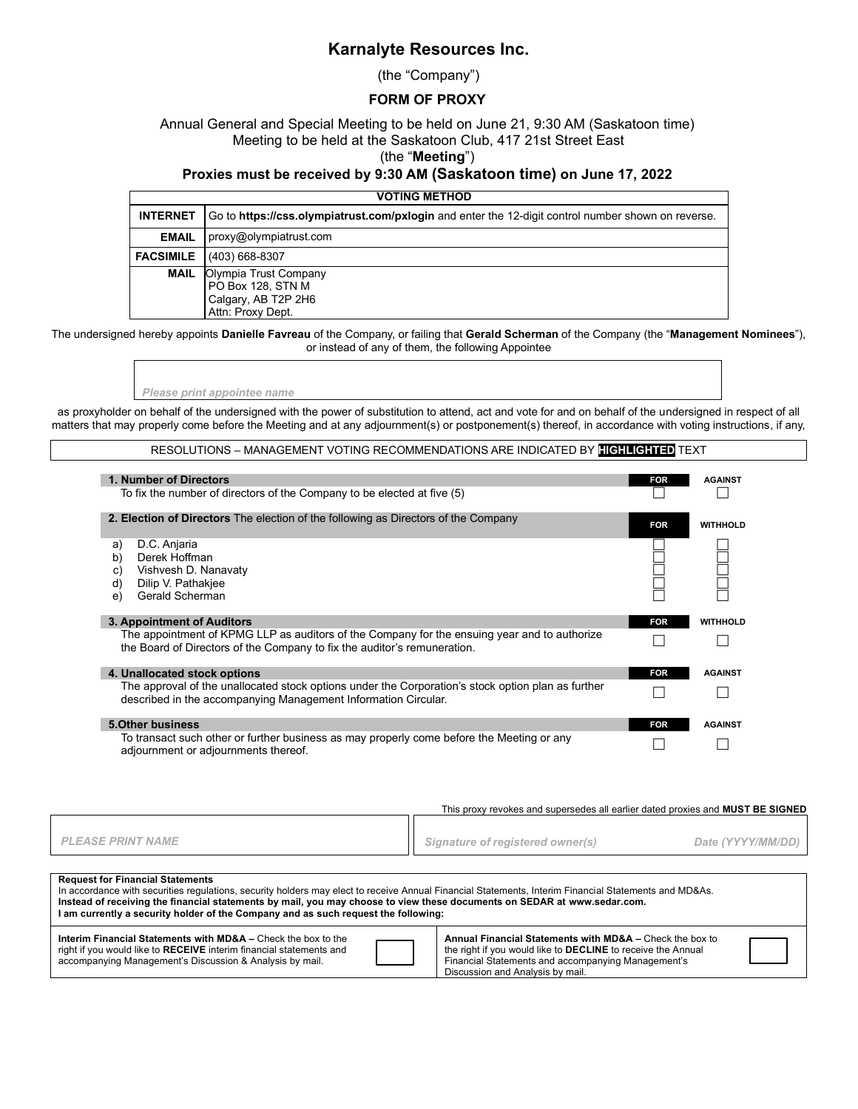## **Karnalyte Resources Inc.**

(the "Company")

### **FORM OF PROXY**

Annual General and Special Meeting to be held on June 21, 9:30 AM (Saskatoon time) Meeting to be held at the Saskatoon Club, 417 21st Street East

#### (the "**Meeting**")

#### **Proxies must be received by 9:30 AM (Saskatoon time) on June 17, 2022**

| <b>VOTING METHOD</b> |                                                                                                    |  |  |  |
|----------------------|----------------------------------------------------------------------------------------------------|--|--|--|
| <b>INTERNET</b>      | Go to https://css.olympiatrust.com/pxlogin and enter the 12-digit control number shown on reverse. |  |  |  |
| <b>EMAIL</b>         | proxy@olympiatrust.com                                                                             |  |  |  |
| <b>FACSIMILE</b>     | (403) 668-8307                                                                                     |  |  |  |
| MAIL                 | Olympia Trust Company<br>PO Box 128, STN M<br>Calgary, AB T2P 2H6<br>Attn: Proxy Dept.             |  |  |  |

The undersigned hereby appoints **Danielle Favreau** of the Company, or failing that **Gerald Scherman** of the Company (the "**Management Nominees**"), or instead of any of them, the following Appointee

*Please print appointee name*

as proxyholder on behalf of the undersigned with the power of substitution to attend, act and vote for and on behalf of the undersigned in respect of all matters that may properly come before the Meeting and at any adjournment(s) or postponement(s) thereof, in accordance with voting instructions, if any,

RESOLUTIONS – MANAGEMENT VOTING RECOMMENDATIONS ARE INDICATED BY **HIGHLIGHTED** TEXT

| 1. Number of Directors<br>To fix the number of directors of the Company to be elected at five (5)                                                                                                      | <b>FOR</b> | <b>AGAINST</b>  |
|--------------------------------------------------------------------------------------------------------------------------------------------------------------------------------------------------------|------------|-----------------|
| <b>2. Election of Directors</b> The election of the following as Directors of the Company                                                                                                              | <b>FOR</b> | <b>WITHHOLD</b> |
| D.C. Anjaria<br>a)<br>b)<br>Derek Hoffman<br>Vishvesh D. Nanavaty<br>C)<br>Dilip V. Pathakjee<br>d)<br>Gerald Scherman<br>e)                                                                           |            |                 |
| 3. Appointment of Auditors<br>The appointment of KPMG LLP as auditors of the Company for the ensuing year and to authorize<br>the Board of Directors of the Company to fix the auditor's remuneration. | <b>FOR</b> | <b>WITHHOLD</b> |
| 4. Unallocated stock options                                                                                                                                                                           | <b>FOR</b> | <b>AGAINST</b>  |
| The approval of the unallocated stock options under the Corporation's stock option plan as further<br>described in the accompanying Management Information Circular.                                   |            |                 |
| <b>5.Other business</b>                                                                                                                                                                                | <b>FOR</b> | <b>AGAINST</b>  |
| To transact such other or further business as may properly come before the Meeting or any<br>adjournment or adjournments thereof.                                                                      |            |                 |

This proxy revokes and supersedes all earlier dated proxies and **MUST BE SIGNED Request for Financial Statements** *PLEASE PRINT NAME Signature of registered owner(s) Date (YYYY/MM/DD)*

| Request for Financial Statements<br>In accordance with securities regulations, security holders may elect to receive Annual Financial Statements, Interim Financial Statements and MD&As.<br>Instead of receiving the financial statements by mail, you may choose to view these documents on SEDAR at www.sedar.com.<br>I am currently a security holder of the Company and as such request the following: |  |                                                                                                                                                                                                                           |  |  |  |  |
|-------------------------------------------------------------------------------------------------------------------------------------------------------------------------------------------------------------------------------------------------------------------------------------------------------------------------------------------------------------------------------------------------------------|--|---------------------------------------------------------------------------------------------------------------------------------------------------------------------------------------------------------------------------|--|--|--|--|
| <b>Interim Financial Statements with MD&amp;A – Check the box to the</b><br>right if you would like to RECEIVE interim financial statements and<br>accompanying Management's Discussion & Analysis by mail.                                                                                                                                                                                                 |  | Annual Financial Statements with MD&A - Check the box to<br>the right if you would like to <b>DECLINE</b> to receive the Annual<br>Financial Statements and accompanying Management's<br>Discussion and Analysis by mail. |  |  |  |  |